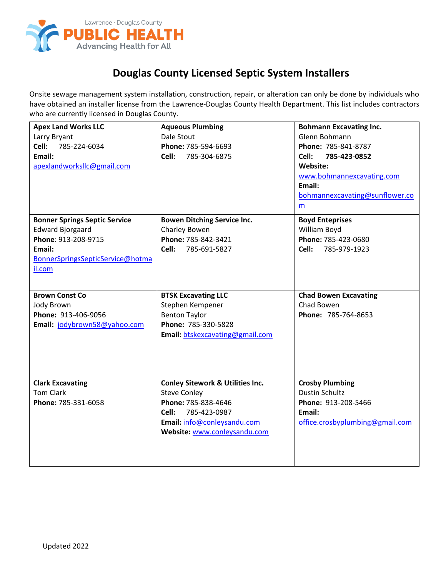

## **Douglas County Licensed Septic System Installers**

Onsite sewage management system installation, construction, repair, or alteration can only be done by individuals who have obtained an installer license from the Lawrence-Douglas County Health Department. This list includes contractors who are currently licensed in Douglas County.

| <b>Apex Land Works LLC</b>           | <b>Aqueous Plumbing</b>                        | <b>Bohmann Excavating Inc.</b>             |
|--------------------------------------|------------------------------------------------|--------------------------------------------|
| Larry Bryant                         | Dale Stout                                     | Glenn Bohmann                              |
| 785-224-6034<br>Cell:                | Phone: 785-594-6693                            | Phone: 785-841-8787                        |
| Email:                               | Cell:<br>785-304-6875                          | Cell:<br>785-423-0852                      |
| apexlandworksllc@gmail.com           |                                                | Website:                                   |
|                                      |                                                | www.bohmannexcavating.com                  |
|                                      |                                                | Email:                                     |
|                                      |                                                | bohmannexcavating@sunflower.co             |
|                                      |                                                | m                                          |
| <b>Bonner Springs Septic Service</b> | <b>Bowen Ditching Service Inc.</b>             | <b>Boyd Enteprises</b>                     |
| <b>Edward Bjorgaard</b>              | Charley Bowen                                  | William Boyd                               |
| Phone: 913-208-9715                  | Phone: 785-842-3421                            | Phone: 785-423-0680                        |
| Email:                               | Cell:<br>785-691-5827                          | Cell:<br>785-979-1923                      |
| BonnerSpringsSepticService@hotma     |                                                |                                            |
| il.com                               |                                                |                                            |
|                                      |                                                |                                            |
| <b>Brown Const Co</b>                |                                                |                                            |
|                                      | <b>BTSK Excavating LLC</b><br>Stephen Kempener | <b>Chad Bowen Excavating</b><br>Chad Bowen |
| Jody Brown<br>Phone: 913-406-9056    | <b>Benton Taylor</b>                           | Phone: 785-764-8653                        |
|                                      | Phone: 785-330-5828                            |                                            |
| Email: jodybrown58@yahoo.com         |                                                |                                            |
|                                      | Email: btskexcavating@gmail.com                |                                            |
|                                      |                                                |                                            |
|                                      |                                                |                                            |
|                                      |                                                |                                            |
| <b>Clark Excavating</b>              | <b>Conley Sitework &amp; Utilities Inc.</b>    | <b>Crosby Plumbing</b>                     |
| <b>Tom Clark</b>                     | <b>Steve Conley</b>                            | <b>Dustin Schultz</b>                      |
| Phone: 785-331-6058                  | Phone: 785-838-4646                            | Phone: 913-208-5466                        |
|                                      | 785-423-0987<br>Cell:                          | Email:                                     |
|                                      | Email: info@conleysandu.com                    | office.crosbyplumbing@gmail.com            |
|                                      | Website: www.conleysandu.com                   |                                            |
|                                      |                                                |                                            |
|                                      |                                                |                                            |
|                                      |                                                |                                            |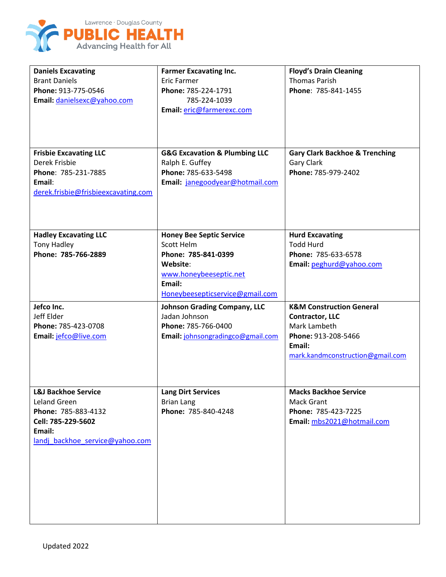

| <b>Daniels Excavating</b><br><b>Brant Daniels</b><br>Phone: 913-775-0546<br>Email: danielsexc@yahoo.com<br><b>Frisbie Excavating LLC</b> | <b>Farmer Excavating Inc.</b><br><b>Eric Farmer</b><br>Phone: 785-224-1791<br>785-224-1039<br>Email: eric@farmerexc.com<br><b>G&amp;G Excavation &amp; Plumbing LLC</b> | <b>Floyd's Drain Cleaning</b><br><b>Thomas Parish</b><br>Phone: 785-841-1455<br><b>Gary Clark Backhoe &amp; Trenching</b>                          |
|------------------------------------------------------------------------------------------------------------------------------------------|-------------------------------------------------------------------------------------------------------------------------------------------------------------------------|----------------------------------------------------------------------------------------------------------------------------------------------------|
| Derek Frisbie<br>Phone: 785-231-7885<br>Email:<br>derek.frisbie@frisbieexcavating.com                                                    | Ralph E. Guffey<br>Phone: 785-633-5498<br>Email: janegoodyear@hotmail.com                                                                                               | <b>Gary Clark</b><br>Phone: 785-979-2402                                                                                                           |
| <b>Hadley Excavating LLC</b><br><b>Tony Hadley</b><br>Phone: 785-766-2889                                                                | <b>Honey Bee Septic Service</b><br>Scott Helm<br>Phone: 785-841-0399<br>Website:<br>www.honeybeeseptic.net<br>Email:<br>Honeybeesepticservice@gmail.com                 | <b>Hurd Excavating</b><br><b>Todd Hurd</b><br>Phone: 785-633-6578<br>Email: peghurd@yahoo.com                                                      |
| Jefco Inc.<br>Jeff Elder<br>Phone: 785-423-0708<br>Email: jefco@live.com                                                                 | <b>Johnson Grading Company, LLC</b><br>Jadan Johnson<br>Phone: 785-766-0400<br>Email: johnsongradingco@gmail.com                                                        | <b>K&amp;M Construction General</b><br><b>Contractor, LLC</b><br>Mark Lambeth<br>Phone: 913-208-5466<br>Email:<br>mark.kandmconstruction@gmail.com |
| <b>L&amp;J Backhoe Service</b><br>Leland Green<br>Phone: 785-883-4132<br>Cell: 785-229-5602<br>Email:<br>landj backhoe service@yahoo.com | <b>Lang Dirt Services</b><br><b>Brian Lang</b><br>Phone: 785-840-4248                                                                                                   | <b>Macks Backhoe Service</b><br><b>Mack Grant</b><br>Phone: 785-423-7225<br>Email: mbs2021@hotmail.com                                             |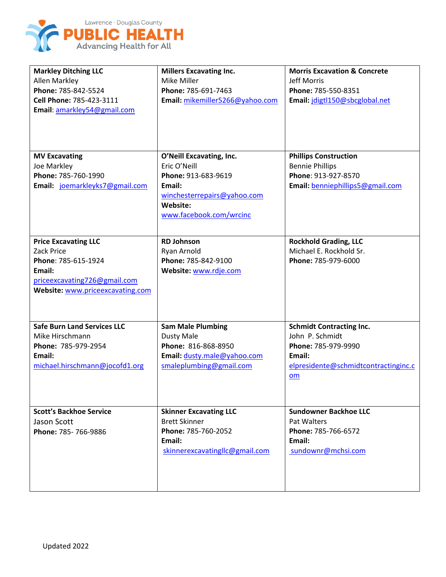

| <b>Markley Ditching LLC</b><br>Allen Markley<br>Phone: 785-842-5524<br>Cell Phone: 785-423-3111<br>Email: amarkley54@gmail.com                 | <b>Millers Excavating Inc.</b><br>Mike Miller<br>Phone: 785-691-7463<br>Email: mikemiller5266@yahoo.com                                         | <b>Morris Excavation &amp; Concrete</b><br><b>Jeff Morris</b><br>Phone: 785-550-8351<br>Email: jdigtl150@sbcglobal.net            |
|------------------------------------------------------------------------------------------------------------------------------------------------|-------------------------------------------------------------------------------------------------------------------------------------------------|-----------------------------------------------------------------------------------------------------------------------------------|
| <b>MV Excavating</b><br>Joe Markley<br>Phone: 785-760-1990<br>Email: joemarkleyks7@gmail.com                                                   | O'Neill Excavating, Inc.<br>Eric O'Neill<br>Phone: 913-683-9619<br>Email:<br>winchesterrepairs@yahoo.com<br>Website:<br>www.facebook.com/wrcinc | <b>Phillips Construction</b><br><b>Bennie Phillips</b><br>Phone: 913-927-8570<br>Email: benniephillips5@gmail.com                 |
| <b>Price Excavating LLC</b><br>Zack Price<br>Phone: 785-615-1924<br>Email:<br>priceexcavating726@gmail.com<br>Website: www.priceexcavating.com | <b>RD Johnson</b><br>Ryan Arnold<br>Phone: 785-842-9100<br>Website: www.rdje.com                                                                | <b>Rockhold Grading, LLC</b><br>Michael E. Rockhold Sr.<br>Phone: 785-979-6000                                                    |
| <b>Safe Burn Land Services LLC</b><br>Mike Hirschmann<br>Phone: 785-979-2954<br>Email:<br>michael.hirschmann@jocofd1.org                       | <b>Sam Male Plumbing</b><br><b>Dusty Male</b><br>Phone: 816-868-8950<br>Email: dusty.male@yahoo.com<br>smaleplumbing@gmail.com                  | <b>Schmidt Contracting Inc.</b><br>John P. Schmidt<br>Phone: 785-979-9990<br>Email:<br>elpresidente@schmidtcontractinginc.c<br>om |
| <b>Scott's Backhoe Service</b><br>Jason Scott<br>Phone: 785-766-9886                                                                           | <b>Skinner Excavating LLC</b><br><b>Brett Skinner</b><br>Phone: 785-760-2052<br>Email:<br>skinnerexcavatingllc@gmail.com                        | <b>Sundowner Backhoe LLC</b><br>Pat Walters<br>Phone: 785-766-6572<br>Email:<br>sundownr@mchsi.com                                |